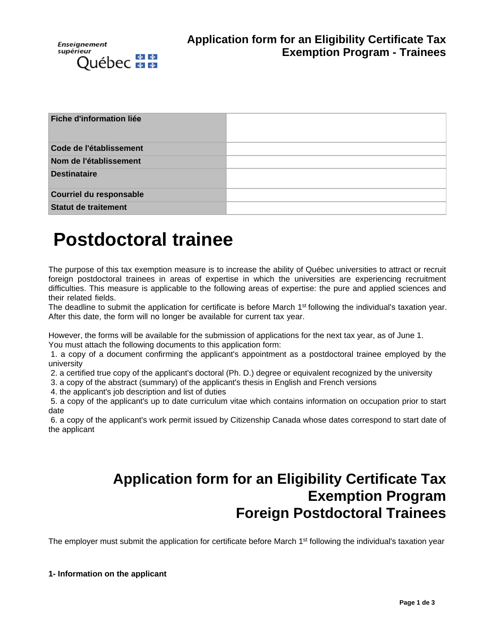

| Fiche d'information liée    |  |
|-----------------------------|--|
| Code de l'établissement     |  |
| Nom de l'établissement      |  |
| <b>Destinataire</b>         |  |
| Courriel du responsable     |  |
| <b>Statut de traitement</b> |  |

# **Postdoctoral trainee**

The purpose of this tax exemption measure is to increase the ability of Québec universities to attract or recruit foreign postdoctoral trainees in areas of expertise in which the universities are experiencing recruitment difficulties. This measure is applicable to the following areas of expertise: the pure and applied sciences and their related fields.

The deadline to submit the application for certificate is before March 1<sup>st</sup> following the individual's taxation year. After this date, the form will no longer be available for current tax year.

However, the forms will be available for the submission of applications for the next tax year, as of June 1.

You must attach the following documents to this application form:

1. a copy of a document confirming the applicant's appointment as a postdoctoral trainee employed by the university

2. a certified true copy of the applicant's doctoral (Ph. D.) degree or equivalent recognized by the university

3. a copy of the abstract (summary) of the applicant's thesis in English and French versions

4. the applicant's job description and list of duties

5. a copy of the applicant's up to date curriculum vitae which contains information on occupation prior to start date

6. a copy of the applicant's work permit issued by Citizenship Canada whose dates correspond to start date of the applicant

# **Application form for an Eligibility Certificate Tax Exemption Program Foreign Postdoctoral Trainees**

The employer must submit the application for certificate before March 1<sup>st</sup> following the individual's taxation year

**1- Information on the applicant**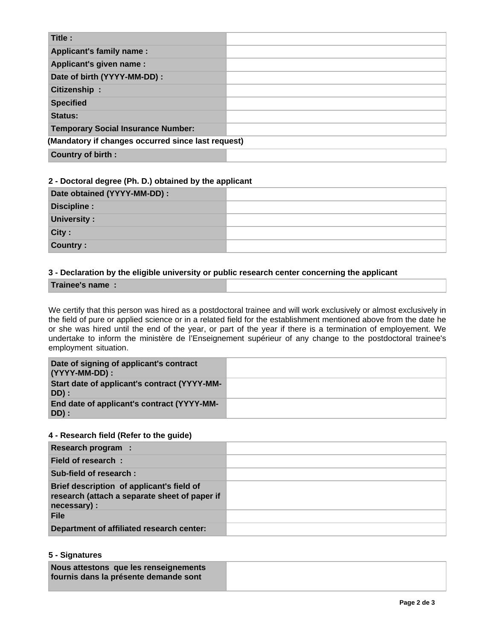| Title:                                             |  |
|----------------------------------------------------|--|
| Applicant's family name:                           |  |
| Applicant's given name :                           |  |
| Date of birth (YYYY-MM-DD) :                       |  |
| Citizenship:                                       |  |
| <b>Specified</b>                                   |  |
| Status:                                            |  |
| <b>Temporary Social Insurance Number:</b>          |  |
| (Mandatory if changes occurred since last request) |  |
| <b>Country of birth:</b>                           |  |

#### **2 - Doctoral degree (Ph. D.) obtained by the applicant**

| Date obtained (YYYY-MM-DD) : |  |
|------------------------------|--|
| Discipline:                  |  |
| University:                  |  |
| City:                        |  |
| Country:                     |  |

## **3 - Declaration by the eligible university or public research center concerning the applicant**

#### **Trainee's name :**

We certify that this person was hired as a postdoctoral trainee and will work exclusively or almost exclusively in the field of pure or applied science or in a related field for the establishment mentioned above from the date he or she was hired until the end of the year, or part of the year if there is a termination of employement. We undertake to inform the ministère de l'Enseignement supérieur of any change to the postdoctoral trainee's employment situation.

| Date of signing of applicant's contract<br>(YYYY-MM-DD): |  |
|----------------------------------------------------------|--|
| Start date of applicant's contract (YYYY-MM-<br>DD) :    |  |
| End date of applicant's contract (YYYY-MM-<br>DD):       |  |

#### **4 - Research field (Refer to the guide)**

| Research program :                                                                                        |  |
|-----------------------------------------------------------------------------------------------------------|--|
| Field of research:                                                                                        |  |
| Sub-field of research:                                                                                    |  |
| Brief description of applicant's field of<br>research (attach a separate sheet of paper if<br>necessary): |  |
| File                                                                                                      |  |
| Department of affiliated research center:                                                                 |  |

#### **5 - Signatures**